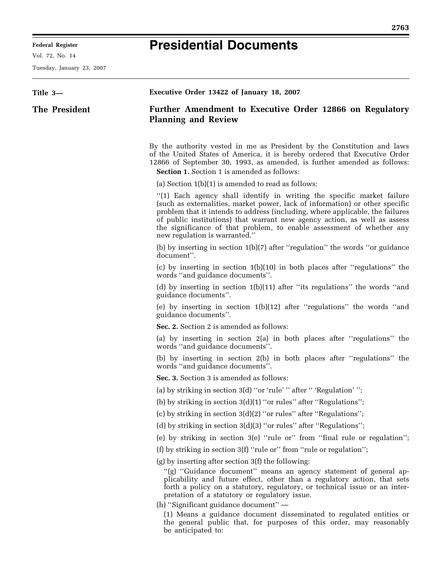## **Presidential Documents**

Vol. 72, No. 14

Tuesday, January 23, 2007

| Title 3-      | Executive Order 13422 of January 18, 2007                                                                                                                                                                                                                                                                                                                                                                                                                                                                                      |
|---------------|--------------------------------------------------------------------------------------------------------------------------------------------------------------------------------------------------------------------------------------------------------------------------------------------------------------------------------------------------------------------------------------------------------------------------------------------------------------------------------------------------------------------------------|
| The President | Further Amendment to Executive Order 12866 on Regulatory<br><b>Planning and Review</b>                                                                                                                                                                                                                                                                                                                                                                                                                                         |
|               | By the authority vested in me as President by the Constitution and laws<br>of the United States of America, it is hereby ordered that Executive Order<br>12866 of September 30, 1993, as amended, is further amended as follows:<br><b>Section 1.</b> Section 1 is amended as follows:                                                                                                                                                                                                                                         |
|               | (a) Section $1(b)(1)$ is amended to read as follows:                                                                                                                                                                                                                                                                                                                                                                                                                                                                           |
|               | "(1) Each agency shall identify in writing the specific market failure<br>(such as externalities, market power, lack of information) or other specific<br>problem that it intends to address (including, where applicable, the failures<br>of public institutions) that warrant new agency action, as well as assess<br>the significance of that problem, to enable assessment of whether any<br>new regulation is warranted."                                                                                                 |
|               | (b) by inserting in section 1(b)(7) after "regulation" the words "or guidance<br>document".                                                                                                                                                                                                                                                                                                                                                                                                                                    |
|               | (c) by inserting in section $1(b)(10)$ in both places after "regulations" the<br>words "and guidance documents".                                                                                                                                                                                                                                                                                                                                                                                                               |
|               | (d) by inserting in section 1(b)(11) after "its regulations" the words "and<br>guidance documents".                                                                                                                                                                                                                                                                                                                                                                                                                            |
|               | (e) by inserting in section $1(b)(12)$ after "regulations" the words "and<br>guidance documents".                                                                                                                                                                                                                                                                                                                                                                                                                              |
|               | Sec. 2. Section 2 is amended as follows:                                                                                                                                                                                                                                                                                                                                                                                                                                                                                       |
|               | (a) by inserting in section 2(a) in both places after "regulations" the<br>words "and guidance documents".                                                                                                                                                                                                                                                                                                                                                                                                                     |
|               | (b) by inserting in section 2(b) in both places after "regulations" the<br>words "and guidance documents".                                                                                                                                                                                                                                                                                                                                                                                                                     |
|               | Sec. 3. Section 3 is amended as follows:                                                                                                                                                                                                                                                                                                                                                                                                                                                                                       |
|               | (a) by striking in section 3(d) "or 'rule' " after " 'Regulation' ";                                                                                                                                                                                                                                                                                                                                                                                                                                                           |
|               | (b) by striking in section $3(d)(1)$ "or rules" after "Regulations";                                                                                                                                                                                                                                                                                                                                                                                                                                                           |
|               | (c) by striking in section 3(d)(2) "or rules" after "Regulations";                                                                                                                                                                                                                                                                                                                                                                                                                                                             |
|               | (d) by striking in section $3(d)(3)$ "or rules" after "Regulations";                                                                                                                                                                                                                                                                                                                                                                                                                                                           |
|               | (e) by striking in section 3(e) "rule or" from "final rule or regulation";                                                                                                                                                                                                                                                                                                                                                                                                                                                     |
|               | (f) by striking in section 3(f) "rule or" from "rule or regulation";                                                                                                                                                                                                                                                                                                                                                                                                                                                           |
|               | $(g)$ by inserting after section 3 $(f)$ the following:<br>"(g) "Guidance document" means an agency statement of general ap-<br>plicability and future effect, other than a regulatory action, that sets<br>forth a policy on a statutory, regulatory, or technical issue or an inter-<br>pretation of a statutory or regulatory issue.<br>(h) "Significant guidance document" -<br>(1) Means a guidance document disseminated to regulated entities or<br>the general public that, for purposes of this order, may reasonably |
|               | be anticipated to:                                                                                                                                                                                                                                                                                                                                                                                                                                                                                                             |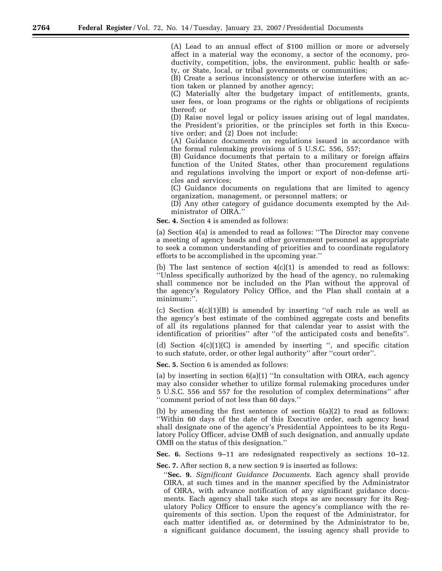(A) Lead to an annual effect of \$100 million or more or adversely affect in a material way the economy, a sector of the economy, productivity, competition, jobs, the environment, public health or safety, or State, local, or tribal governments or communities;

(B) Create a serious inconsistency or otherwise interfere with an action taken or planned by another agency;

(C) Materially alter the budgetary impact of entitlements, grants, user fees, or loan programs or the rights or obligations of recipients thereof; or

(D) Raise novel legal or policy issues arising out of legal mandates, the President's priorities, or the principles set forth in this Executive order; and (2) Does not include:

(A) Guidance documents on regulations issued in accordance with the formal rulemaking provisions of 5 U.S.C. 556, 557;

(B) Guidance documents that pertain to a military or foreign affairs function of the United States, other than procurement regulations and regulations involving the import or export of non-defense articles and services;

(C) Guidance documents on regulations that are limited to agency organization, management, or personnel matters; or

(D) Any other category of guidance documents exempted by the Administrator of OIRA.''

**Sec. 4.** Section 4 is amended as follows:

(a) Section 4(a) is amended to read as follows: ''The Director may convene a meeting of agency heads and other government personnel as appropriate to seek a common understanding of priorities and to coordinate regulatory efforts to be accomplished in the upcoming year.''

(b) The last sentence of section  $4(c)(1)$  is amended to read as follows: ''Unless specifically authorized by the head of the agency, no rulemaking shall commence nor be included on the Plan without the approval of the agency's Regulatory Policy Office, and the Plan shall contain at a minimum:''.

(c) Section  $4(c)(1)(B)$  is amended by inserting "of each rule as well as the agency's best estimate of the combined aggregate costs and benefits of all its regulations planned for that calendar year to assist with the identification of priorities'' after ''of the anticipated costs and benefits''.

(d) Section  $4(c)(1)(C)$  is amended by inserting ", and specific citation to such statute, order, or other legal authority'' after ''court order''.

**Sec. 5.** Section 6 is amended as follows:

(a) by inserting in section 6(a)(1) ''In consultation with OIRA, each agency may also consider whether to utilize formal rulemaking procedures under 5 U.S.C. 556 and 557 for the resolution of complex determinations'' after ''comment period of not less than 60 days.''

(b) by amending the first sentence of section  $6(a)(2)$  to read as follows: ''Within 60 days of the date of this Executive order, each agency head shall designate one of the agency's Presidential Appointees to be its Regulatory Policy Officer, advise OMB of such designation, and annually update OMB on the status of this designation.''

**Sec. 6.** Sections 9–11 are redesignated respectively as sections 10–12.

**Sec. 7.** After section 8, a new section 9 is inserted as follows:

''**Sec. 9.** *Significant Guidance Documents*. Each agency shall provide OIRA, at such times and in the manner specified by the Administrator of OIRA, with advance notification of any significant guidance documents. Each agency shall take such steps as are necessary for its Regulatory Policy Officer to ensure the agency's compliance with the requirements of this section. Upon the request of the Administrator, for each matter identified as, or determined by the Administrator to be, a significant guidance document, the issuing agency shall provide to